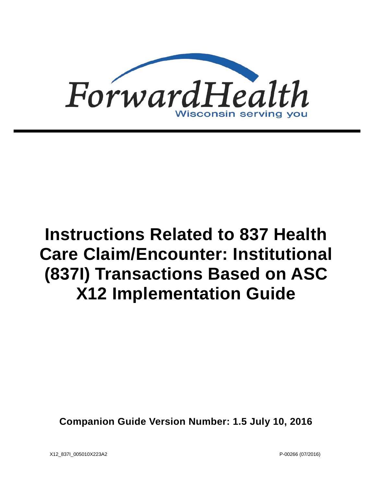

# **Instructions Related to 837 Health Care Claim/Encounter: Institutional (837I) Transactions Based on ASC X12 Implementation Guide**

**Companion Guide Version Number: 1.5 July 10, 2016**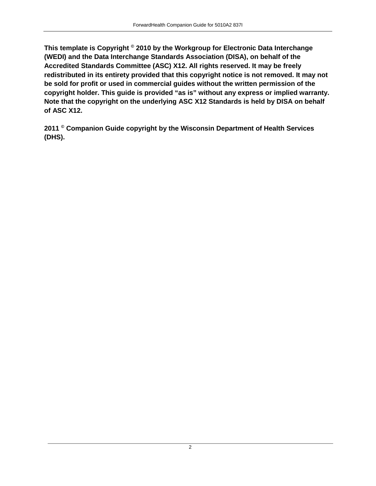**This template is Copyright © 2010 by the Workgroup for Electronic Data Interchange (WEDI) and the Data Interchange Standards Association (DISA), on behalf of the Accredited Standards Committee (ASC) X12. All rights reserved. It may be freely redistributed in its entirety provided that this copyright notice is not removed. It may not be sold for profit or used in commercial guides without the written permission of the copyright holder. This guide is provided "as is" without any express or implied warranty. Note that the copyright on the underlying ASC X12 Standards is held by DISA on behalf of ASC X12.**

**2011 © Companion Guide copyright by the Wisconsin Department of Health Services (DHS).**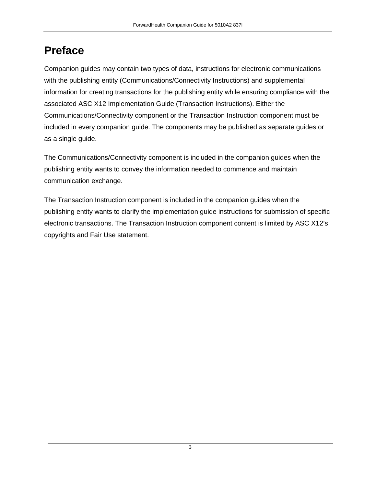## **Preface**

Companion guides may contain two types of data, instructions for electronic communications with the publishing entity (Communications/Connectivity Instructions) and supplemental information for creating transactions for the publishing entity while ensuring compliance with the associated ASC X12 Implementation Guide (Transaction Instructions). Either the Communications/Connectivity component or the Transaction Instruction component must be included in every companion guide. The components may be published as separate guides or as a single guide.

The Communications/Connectivity component is included in the companion guides when the publishing entity wants to convey the information needed to commence and maintain communication exchange.

The Transaction Instruction component is included in the companion guides when the publishing entity wants to clarify the implementation guide instructions for submission of specific electronic transactions. The Transaction Instruction component content is limited by ASC X12's copyrights and Fair Use statement.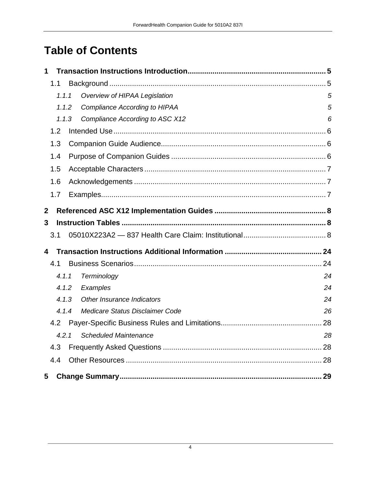## **Table of Contents**

| 1                |       |  |                                        |    |  |  |  |
|------------------|-------|--|----------------------------------------|----|--|--|--|
|                  | 1.1   |  |                                        |    |  |  |  |
|                  | 1.1.1 |  | Overview of HIPAA Legislation          | 5  |  |  |  |
|                  | 1.1.2 |  | Compliance According to HIPAA          | 5  |  |  |  |
|                  | 1.1.3 |  | <b>Compliance According to ASC X12</b> | 6  |  |  |  |
|                  | 1.2   |  |                                        |    |  |  |  |
|                  | 1.3   |  |                                        |    |  |  |  |
|                  | 1.4   |  |                                        |    |  |  |  |
|                  | 1.5   |  |                                        |    |  |  |  |
|                  | 1.6   |  |                                        |    |  |  |  |
|                  | 1.7   |  |                                        |    |  |  |  |
| $\boldsymbol{2}$ |       |  |                                        |    |  |  |  |
| 3                |       |  |                                        |    |  |  |  |
|                  | 3.1   |  |                                        |    |  |  |  |
| 4                |       |  |                                        |    |  |  |  |
|                  | 4.1   |  |                                        |    |  |  |  |
|                  | 4.1.1 |  | Terminology                            | 24 |  |  |  |
|                  | 4.1.2 |  | Examples                               | 24 |  |  |  |
|                  | 4.1.3 |  | Other Insurance Indicators             | 24 |  |  |  |
|                  | 4.1.4 |  | Medicare Status Disclaimer Code        | 26 |  |  |  |
|                  | 4.2   |  |                                        |    |  |  |  |
|                  | 4.2.1 |  | <b>Scheduled Maintenance</b>           | 28 |  |  |  |
|                  | 4.3   |  |                                        |    |  |  |  |
|                  | 4.4   |  |                                        |    |  |  |  |
| 5                |       |  |                                        |    |  |  |  |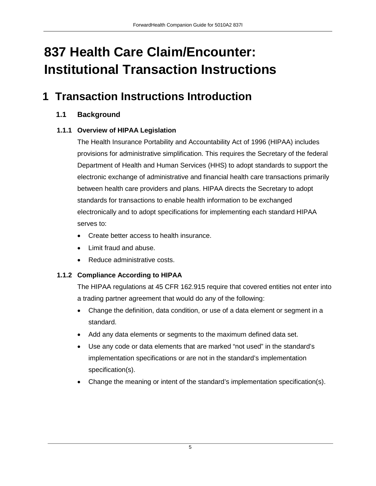## **837 Health Care Claim/Encounter: Institutional Transaction Instructions**

## <span id="page-4-1"></span><span id="page-4-0"></span>**1 Transaction Instructions Introduction**

#### **1.1 Background**

#### <span id="page-4-2"></span>**1.1.1 Overview of HIPAA Legislation**

The Health Insurance Portability and Accountability Act of 1996 (HIPAA) includes provisions for administrative simplification. This requires the Secretary of the federal Department of Health and Human Services (HHS) to adopt standards to support the electronic exchange of administrative and financial health care transactions primarily between health care providers and plans. HIPAA directs the Secretary to adopt standards for transactions to enable health information to be exchanged electronically and to adopt specifications for implementing each standard HIPAA serves to:

- Create better access to health insurance.
- Limit fraud and abuse.
- Reduce administrative costs.

#### <span id="page-4-3"></span>**1.1.2 Compliance According to HIPAA**

The HIPAA regulations at 45 CFR 162.915 require that covered entities not enter into a trading partner agreement that would do any of the following:

- Change the definition, data condition, or use of a data element or segment in a standard.
- Add any data elements or segments to the maximum defined data set.
- Use any code or data elements that are marked "not used" in the standard's implementation specifications or are not in the standard's implementation specification(s).
- Change the meaning or intent of the standard's implementation specification(s).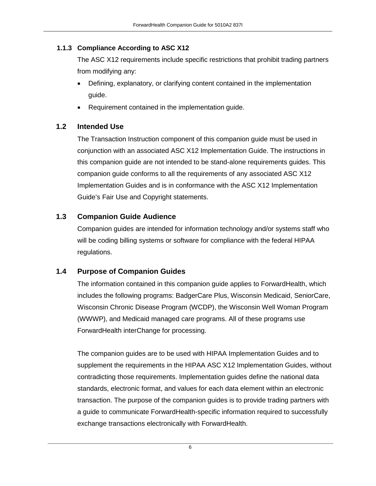#### <span id="page-5-0"></span>**1.1.3 Compliance According to ASC X12**

The ASC X12 requirements include specific restrictions that prohibit trading partners from modifying any:

- Defining, explanatory, or clarifying content contained in the implementation guide.
- Requirement contained in the implementation guide.

#### <span id="page-5-1"></span>**1.2 Intended Use**

The Transaction Instruction component of this companion guide must be used in conjunction with an associated ASC X12 Implementation Guide. The instructions in this companion guide are not intended to be stand-alone requirements guides. This companion guide conforms to all the requirements of any associated ASC X12 Implementation Guides and is in conformance with the ASC X12 Implementation Guide's Fair Use and Copyright statements.

#### <span id="page-5-2"></span>**1.3 Companion Guide Audience**

Companion guides are intended for information technology and/or systems staff who will be coding billing systems or software for compliance with the federal HIPAA regulations.

#### <span id="page-5-3"></span>**1.4 Purpose of Companion Guides**

The information contained in this companion guide applies to ForwardHealth, which includes the following programs: BadgerCare Plus, Wisconsin Medicaid, SeniorCare, Wisconsin Chronic Disease Program (WCDP), the Wisconsin Well Woman Program (WWWP), and Medicaid managed care programs. All of these programs use ForwardHealth interChange for processing.

The companion guides are to be used with HIPAA Implementation Guides and to supplement the requirements in the HIPAA ASC X12 Implementation Guides, without contradicting those requirements. Implementation guides define the national data standards, electronic format, and values for each data element within an electronic transaction. The purpose of the companion guides is to provide trading partners with a guide to communicate ForwardHealth-specific information required to successfully exchange transactions electronically with ForwardHealth.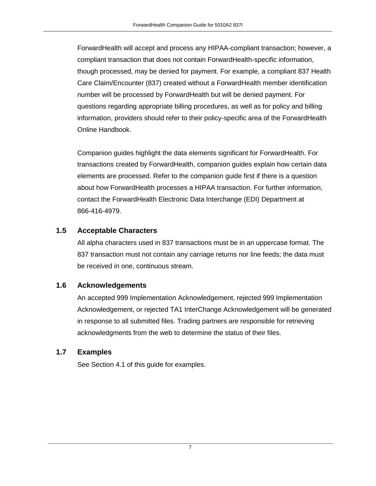ForwardHealth will accept and process any HIPAA-compliant transaction; however, a compliant transaction that does not contain ForwardHealth-specific information, though processed, may be denied for payment. For example, a compliant 837 Health Care Claim/Encounter (837) created without a ForwardHealth member identification number will be processed by ForwardHealth but will be denied payment. For questions regarding appropriate billing procedures, as well as for policy and billing information, providers should refer to their policy-specific area of the ForwardHealth Online Handbook.

Companion guides highlight the data elements significant for ForwardHealth. For transactions created by ForwardHealth, companion guides explain how certain data elements are processed. Refer to the companion guide first if there is a question about how ForwardHealth processes a HIPAA transaction. For further information, contact the ForwardHealth Electronic Data Interchange (EDI) Department at 866-416-4979.

#### <span id="page-6-0"></span>**1.5 Acceptable Characters**

All alpha characters used in 837 transactions must be in an uppercase format. The 837 transaction must not contain any carriage returns nor line feeds; the data must be received in one, continuous stream.

#### <span id="page-6-1"></span>**1.6 Acknowledgements**

An accepted 999 Implementation Acknowledgement, rejected 999 Implementation Acknowledgement, or rejected TA1 InterChange Acknowledgement will be generated in response to all submitted files. Trading partners are responsible for retrieving acknowledgments from the web to determine the status of their files.

#### <span id="page-6-2"></span>**1.7 Examples**

See Section 4.1 of this guide for examples.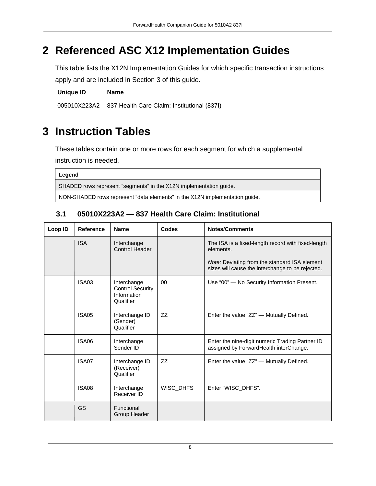## <span id="page-7-0"></span>**2 Referenced ASC X12 Implementation Guides**

This table lists the X12N Implementation Guides for which specific transaction instructions apply and are included in Section 3 of this guide.

**Unique ID Name**

005010X223A2 837 Health Care Claim: Institutional (837I)

## <span id="page-7-1"></span>**3 Instruction Tables**

These tables contain one or more rows for each segment for which a supplemental instruction is needed.

| Legend                                                                      |
|-----------------------------------------------------------------------------|
| SHADED rows represent "segments" in the X12N implementation guide.          |
| NON-SHADED rows represent "data elements" in the X12N implementation guide. |

#### <span id="page-7-2"></span>**3.1 05010X223A2 — 837 Health Care Claim: Institutional**

| Loop ID | <b>Reference</b> | <b>Name</b>                                                        | <b>Codes</b> | <b>Notes/Comments</b>                                                                             |
|---------|------------------|--------------------------------------------------------------------|--------------|---------------------------------------------------------------------------------------------------|
|         | <b>ISA</b>       | Interchange<br><b>Control Header</b>                               |              | The ISA is a fixed-length record with fixed-length<br>elements.                                   |
|         |                  |                                                                    |              | Note: Deviating from the standard ISA element<br>sizes will cause the interchange to be rejected. |
|         | <b>ISA03</b>     | Interchange<br><b>Control Security</b><br>Information<br>Qualifier | 00           | Use "00" - No Security Information Present.                                                       |
|         | <b>ISA05</b>     | Interchange ID<br>(Sender)<br>Qualifier                            | ZZ           | Enter the value "ZZ" — Mutually Defined.                                                          |
|         | <b>ISA06</b>     | Interchange<br>Sender ID                                           |              | Enter the nine-digit numeric Trading Partner ID<br>assigned by ForwardHealth interChange.         |
|         | ISA07            | Interchange ID<br>(Receiver)<br>Qualifier                          | ZZ           | Enter the value "ZZ" — Mutually Defined.                                                          |
|         | <b>ISA08</b>     | Interchange<br>Receiver ID                                         | WISC_DHFS    | Enter "WISC_DHFS".                                                                                |
|         | GS               | Functional<br>Group Header                                         |              |                                                                                                   |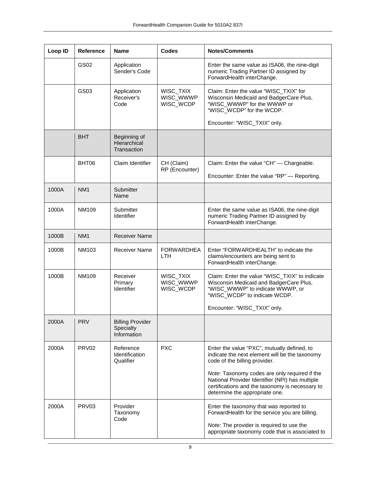| Loop ID | Reference         | <b>Name</b>                                         | <b>Codes</b>                        | <b>Notes/Comments</b>                                                                                                                                                                 |
|---------|-------------------|-----------------------------------------------------|-------------------------------------|---------------------------------------------------------------------------------------------------------------------------------------------------------------------------------------|
|         | GS02              | Application<br>Sender's Code                        |                                     | Enter the same value as ISA06, the nine-digit<br>numeric Trading Partner ID assigned by<br>ForwardHealth interChange.                                                                 |
|         | GS03              | Application<br>Receiver's<br>Code                   | WISC_TXIX<br>WISC_WWWP<br>WISC_WCDP | Claim: Enter the value "WISC_TXIX" for<br>Wisconsin Medicaid and BadgerCare Plus,<br>"WISC_WWWP" for the WWWP or<br>"WISC_WCDP" for the WCDP.                                         |
|         |                   |                                                     |                                     | Encounter: "WISC_TXIX" only.                                                                                                                                                          |
|         | <b>BHT</b>        | Beginning of<br>Hierarchical<br>Transaction         |                                     |                                                                                                                                                                                       |
|         | BHT06             | Claim Identifier                                    | CH (Claim)<br>RP (Encounter)        | Claim: Enter the value "CH" — Chargeable.                                                                                                                                             |
|         |                   |                                                     |                                     | Encounter: Enter the value "RP" - Reporting.                                                                                                                                          |
| 1000A   | NM <sub>1</sub>   | Submitter<br>Name                                   |                                     |                                                                                                                                                                                       |
| 1000A   | NM109             | Submitter<br>Identifier                             |                                     | Enter the same value as ISA06, the nine-digit<br>numeric Trading Partner ID assigned by<br>ForwardHealth interChange.                                                                 |
| 1000B   | NM <sub>1</sub>   | <b>Receiver Name</b>                                |                                     |                                                                                                                                                                                       |
| 1000B   | NM103             | <b>Receiver Name</b>                                | <b>FORWARDHEA</b><br><b>LTH</b>     | Enter "FORWARDHEALTH" to indicate the<br>claims/encounters are being sent to<br>ForwardHealth interChange.                                                                            |
| 1000B   | <b>NM109</b>      | Receiver<br>Primary<br><b>Identifier</b>            | WISC_TXIX<br>WISC_WWWP<br>WISC_WCDP | Claim: Enter the value "WISC_TXIX" to indicate<br>Wisconsin Medicaid and BadgerCare Plus,<br>"WISC_WWWP" to indicate WWWP, or<br>"WISC_WCDP" to indicate WCDP.                        |
|         |                   |                                                     |                                     | Encounter: "WISC_TXIX" only.                                                                                                                                                          |
| 2000A   | <b>PRV</b>        | <b>Billing Provider</b><br>Specialty<br>Information |                                     |                                                                                                                                                                                       |
| 2000A   | PRV <sub>02</sub> | Reference<br>Identification<br>Qualifier            | <b>PXC</b>                          | Enter the value "PXC", mutually defined, to<br>indicate the next element will be the taxonomy<br>code of the billing provider.                                                        |
|         |                   |                                                     |                                     | Note: Taxonomy codes are only required if the<br>National Provider Identifier (NPI) has multiple<br>certifications and the taxonomy is necessary to<br>determine the appropriate one. |
| 2000A   | PRV <sub>03</sub> | Provider<br>Taxonomy<br>Code                        |                                     | Enter the taxonomy that was reported to<br>ForwardHealth for the service you are billing.                                                                                             |
|         |                   |                                                     |                                     | Note: The provider is required to use the<br>appropriate taxonomy code that is associated to                                                                                          |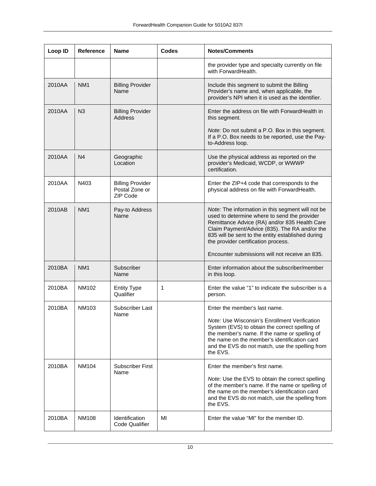| Loop ID | <b>Reference</b> | <b>Name</b>                                           | <b>Codes</b> | <b>Notes/Comments</b>                                                                                                                                                                                                                                                                                                                             |
|---------|------------------|-------------------------------------------------------|--------------|---------------------------------------------------------------------------------------------------------------------------------------------------------------------------------------------------------------------------------------------------------------------------------------------------------------------------------------------------|
|         |                  |                                                       |              | the provider type and specialty currently on file<br>with ForwardHealth.                                                                                                                                                                                                                                                                          |
| 2010AA  | NM <sub>1</sub>  | <b>Billing Provider</b><br>Name                       |              | Include this segment to submit the Billing<br>Provider's name and, when applicable, the<br>provider's NPI when it is used as the identifier.                                                                                                                                                                                                      |
| 2010AA  | N <sub>3</sub>   | <b>Billing Provider</b><br><b>Address</b>             |              | Enter the address on file with ForwardHealth in<br>this segment.                                                                                                                                                                                                                                                                                  |
|         |                  |                                                       |              | <i>Note:</i> Do not submit a P.O. Box in this segment.<br>If a P.O. Box needs to be reported, use the Pay-<br>to-Address loop.                                                                                                                                                                                                                    |
| 2010AA  | N <sub>4</sub>   | Geographic<br>Location                                |              | Use the physical address as reported on the<br>provider's Medicaid, WCDP, or WWWP<br>certification.                                                                                                                                                                                                                                               |
| 2010AA  | N403             | <b>Billing Provider</b><br>Postal Zone or<br>ZIP Code |              | Enter the ZIP+4 code that corresponds to the<br>physical address on file with ForwardHealth.                                                                                                                                                                                                                                                      |
| 2010AB  | NM <sub>1</sub>  | Pay-to Address<br>Name                                |              | Note: The information in this segment will not be<br>used to determine where to send the provider<br>Remittance Advice (RA) and/or 835 Health Care<br>Claim Payment/Advice (835). The RA and/or the<br>835 will be sent to the entity established during<br>the provider certification process.<br>Encounter submissions will not receive an 835. |
| 2010BA  | NM <sub>1</sub>  | Subscriber<br>Name                                    |              | Enter information about the subscriber/member<br>in this loop.                                                                                                                                                                                                                                                                                    |
| 2010BA  | NM102            | <b>Entity Type</b><br>Qualifier                       | 1            | Enter the value "1" to indicate the subscriber is a<br>person.                                                                                                                                                                                                                                                                                    |
| 2010BA  | NM103            | Subscriber Last<br>Name                               |              | Enter the member's last name.                                                                                                                                                                                                                                                                                                                     |
|         |                  |                                                       |              | Note: Use Wisconsin's Enrollment Verification<br>System (EVS) to obtain the correct spelling of<br>the member's name. If the name or spelling of<br>the name on the member's identification card<br>and the EVS do not match, use the spelling from<br>the EVS.                                                                                   |
| 2010BA  | NM104            | Subscriber First<br>Name                              |              | Enter the member's first name.                                                                                                                                                                                                                                                                                                                    |
|         |                  |                                                       |              | Note: Use the EVS to obtain the correct spelling<br>of the member's name. If the name or spelling of<br>the name on the member's identification card<br>and the EVS do not match, use the spelling from<br>the EVS.                                                                                                                               |
| 2010BA  | NM108            | <b>Identification</b><br><b>Code Qualifier</b>        | MI           | Enter the value "MI" for the member ID.                                                                                                                                                                                                                                                                                                           |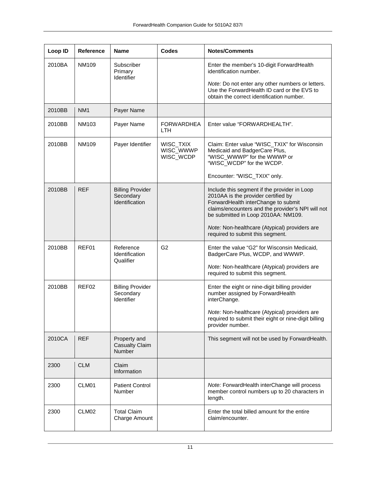| Loop ID | Reference       | <b>Name</b>                                            | <b>Codes</b>                        | <b>Notes/Comments</b>                                                                                                                                                                                                  |
|---------|-----------------|--------------------------------------------------------|-------------------------------------|------------------------------------------------------------------------------------------------------------------------------------------------------------------------------------------------------------------------|
| 2010BA  | NM109           | Subscriber<br>Primary<br>Identifier                    |                                     | Enter the member's 10-digit ForwardHealth<br>identification number.                                                                                                                                                    |
|         |                 |                                                        |                                     | Note: Do not enter any other numbers or letters.<br>Use the ForwardHealth ID card or the EVS to<br>obtain the correct identification number.                                                                           |
| 2010BB  | NM <sub>1</sub> | Payer Name                                             |                                     |                                                                                                                                                                                                                        |
| 2010BB  | <b>NM103</b>    | Payer Name                                             | <b>FORWARDHEA</b><br>LTH.           | Enter value "FORWARDHEALTH".                                                                                                                                                                                           |
| 2010BB  | NM109           | Payer Identifier                                       | WISC_TXIX<br>WISC_WWWP<br>WISC_WCDP | Claim: Enter value "WISC_TXIX" for Wisconsin<br>Medicaid and BadgerCare Plus,<br>"WISC_WWWP" for the WWWP or<br>"WISC_WCDP" for the WCDP.<br>Encounter: "WISC_TXIX" only.                                              |
|         |                 |                                                        |                                     |                                                                                                                                                                                                                        |
| 2010BB  | <b>REF</b>      | <b>Billing Provider</b><br>Secondary<br>Identification |                                     | Include this segment if the provider in Loop<br>2010AA is the provider certified by<br>ForwardHealth interChange to submit<br>claims/encounters and the provider's NPI will not<br>be submitted in Loop 2010AA: NM109. |
|         |                 |                                                        |                                     | Note: Non-healthcare (Atypical) providers are<br>required to submit this segment.                                                                                                                                      |
| 2010BB  | REF01           | Reference<br>Identification<br>Qualifier               | G <sub>2</sub>                      | Enter the value "G2" for Wisconsin Medicaid,<br>BadgerCare Plus, WCDP, and WWWP.                                                                                                                                       |
|         |                 |                                                        |                                     | Note: Non-healthcare (Atypical) providers are<br>required to submit this segment.                                                                                                                                      |
| 2010BB  | REF02           | <b>Billing Provider</b><br>Secondary<br>Identifier     |                                     | Enter the eight or nine-digit billing provider<br>number assigned by ForwardHealth<br>interChange.                                                                                                                     |
|         |                 |                                                        |                                     | Note: Non-healthcare (Atypical) providers are<br>required to submit their eight or nine-digit billing<br>provider number.                                                                                              |
| 2010CA  | <b>REF</b>      | Property and<br><b>Casualty Claim</b><br>Number        |                                     | This segment will not be used by ForwardHealth.                                                                                                                                                                        |
| 2300    | <b>CLM</b>      | Claim<br>Information                                   |                                     |                                                                                                                                                                                                                        |
| 2300    | CLM01           | <b>Patient Control</b><br>Number                       |                                     | Note: ForwardHealth interChange will process<br>member control numbers up to 20 characters in<br>length.                                                                                                               |
| 2300    | CLM02           | <b>Total Claim</b><br>Charge Amount                    |                                     | Enter the total billed amount for the entire<br>claim/encounter.                                                                                                                                                       |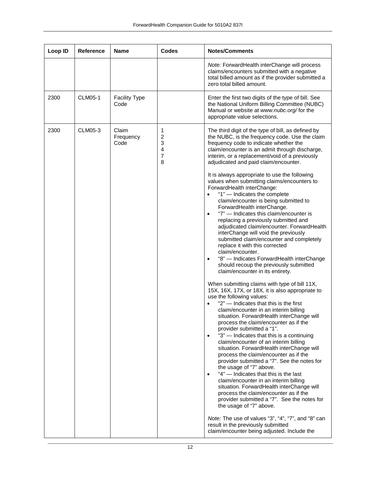| Loop ID | <b>Reference</b> | <b>Name</b>                  | <b>Codes</b>               | <b>Notes/Comments</b>                                                                                                                                                                                                                                                                                                                                                                                                                                                                                                                                                                                                                                                                                                                                                                                                                                                                                                                                                                                                                                                                                                                                                                                                                                                                                                                                                                                                                                                                                                                                                                                                                                                                                                                                                                                                                                                                                                                                                                 |
|---------|------------------|------------------------------|----------------------------|---------------------------------------------------------------------------------------------------------------------------------------------------------------------------------------------------------------------------------------------------------------------------------------------------------------------------------------------------------------------------------------------------------------------------------------------------------------------------------------------------------------------------------------------------------------------------------------------------------------------------------------------------------------------------------------------------------------------------------------------------------------------------------------------------------------------------------------------------------------------------------------------------------------------------------------------------------------------------------------------------------------------------------------------------------------------------------------------------------------------------------------------------------------------------------------------------------------------------------------------------------------------------------------------------------------------------------------------------------------------------------------------------------------------------------------------------------------------------------------------------------------------------------------------------------------------------------------------------------------------------------------------------------------------------------------------------------------------------------------------------------------------------------------------------------------------------------------------------------------------------------------------------------------------------------------------------------------------------------------|
|         |                  |                              |                            | Note: ForwardHealth interChange will process<br>claims/encounters submitted with a negative<br>total billed amount as if the provider submitted a<br>zero total billed amount.                                                                                                                                                                                                                                                                                                                                                                                                                                                                                                                                                                                                                                                                                                                                                                                                                                                                                                                                                                                                                                                                                                                                                                                                                                                                                                                                                                                                                                                                                                                                                                                                                                                                                                                                                                                                        |
| 2300    | <b>CLM05-1</b>   | <b>Facility Type</b><br>Code |                            | Enter the first two digits of the type of bill. See<br>the National Uniform Billing Committee (NUBC)<br>Manual or website at www.nubc.org/for the<br>appropriate value selections.                                                                                                                                                                                                                                                                                                                                                                                                                                                                                                                                                                                                                                                                                                                                                                                                                                                                                                                                                                                                                                                                                                                                                                                                                                                                                                                                                                                                                                                                                                                                                                                                                                                                                                                                                                                                    |
| 2300    | CLM05-3          | Claim<br>Frequency<br>Code   | 1<br>2<br>3<br>4<br>7<br>8 | The third digit of the type of bill, as defined by<br>the NUBC, is the frequency code. Use the claim<br>frequency code to indicate whether the<br>claim/encounter is an admit through discharge,<br>interim, or a replacement/void of a previously<br>adjudicated and paid claim/encounter.<br>It is always appropriate to use the following<br>values when submitting claims/encounters to<br>ForwardHealth interChange:<br>"1" - Indicates the complete<br>claim/encounter is being submitted to<br>ForwardHealth interChange.<br>"7" - Indicates this claim/encounter is<br>$\bullet$<br>replacing a previously submitted and<br>adjudicated claim/encounter. ForwardHealth<br>interChange will void the previously<br>submitted claim/encounter and completely<br>replace it with this corrected<br>claim/encounter.<br>"8" - Indicates ForwardHealth interChange<br>$\bullet$<br>should recoup the previously submitted<br>claim/encounter in its entirety.<br>When submitting claims with type of bill 11X,<br>15X, 16X, 17X, or 18X, it is also appropriate to<br>use the following values:<br>"2" - Indicates that this is the first<br>claim/encounter in an interim billing<br>situation. ForwardHealth interChange will<br>process the claim/encounter as if the<br>provider submitted a "1".<br>"3" - Indicates that this is a continuing<br>$\bullet$<br>claim/encounter of an interim billing<br>situation. ForwardHealth interChange will<br>process the claim/encounter as if the<br>provider submitted a "7". See the notes for<br>the usage of "7" above.<br>"4" - Indicates that this is the last<br>$\bullet$<br>claim/encounter in an interim billing<br>situation. ForwardHealth interChange will<br>process the claim/encounter as if the<br>provider submitted a "7". See the notes for<br>the usage of "7" above.<br>Note: The use of values "3", "4", "7", and "8" can<br>result in the previously submitted<br>claim/encounter being adjusted. Include the |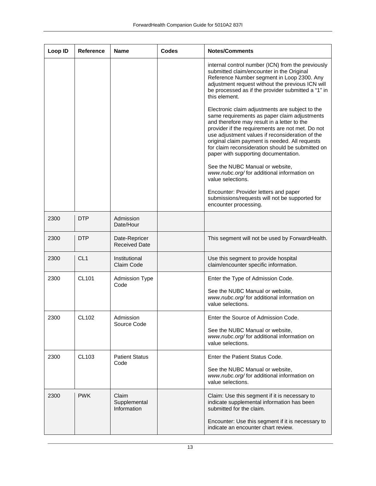| Loop ID | Reference       | <b>Name</b>                           | <b>Codes</b> | <b>Notes/Comments</b>                                                                                                                                                                                                                                                                                                                                                                               |
|---------|-----------------|---------------------------------------|--------------|-----------------------------------------------------------------------------------------------------------------------------------------------------------------------------------------------------------------------------------------------------------------------------------------------------------------------------------------------------------------------------------------------------|
|         |                 |                                       |              | internal control number (ICN) from the previously<br>submitted claim/encounter in the Original<br>Reference Number segment in Loop 2300. Any<br>adjustment request without the previous ICN will<br>be processed as if the provider submitted a "1" in<br>this element.                                                                                                                             |
|         |                 |                                       |              | Electronic claim adjustments are subject to the<br>same requirements as paper claim adjustments<br>and therefore may result in a letter to the<br>provider if the requirements are not met. Do not<br>use adjustment values if reconsideration of the<br>original claim payment is needed. All requests<br>for claim reconsideration should be submitted on<br>paper with supporting documentation. |
|         |                 |                                       |              | See the NUBC Manual or website,<br>www.nubc.org/for additional information on<br>value selections.                                                                                                                                                                                                                                                                                                  |
|         |                 |                                       |              | Encounter: Provider letters and paper<br>submissions/requests will not be supported for<br>encounter processing.                                                                                                                                                                                                                                                                                    |
| 2300    | <b>DTP</b>      | Admission<br>Date/Hour                |              |                                                                                                                                                                                                                                                                                                                                                                                                     |
| 2300    | <b>DTP</b>      | Date-Repricer<br><b>Received Date</b> |              | This segment will not be used by ForwardHealth.                                                                                                                                                                                                                                                                                                                                                     |
| 2300    | CL <sub>1</sub> | Institutional<br>Claim Code           |              | Use this segment to provide hospital<br>claim/encounter specific information.                                                                                                                                                                                                                                                                                                                       |
| 2300    | CL101           | <b>Admission Type</b><br>Code         |              | Enter the Type of Admission Code.<br>See the NUBC Manual or website,<br>www.nubc.org/for additional information on<br>value selections.                                                                                                                                                                                                                                                             |
| 2300    | CL102           | Admission<br>Source Code              |              | Enter the Source of Admission Code.<br>See the NUBC Manual or website,<br>www.nubc.org/for additional information on<br>value selections.                                                                                                                                                                                                                                                           |
| 2300    | CL103           | <b>Patient Status</b><br>Code         |              | Enter the Patient Status Code.<br>See the NUBC Manual or website,<br>www.nubc.org/for additional information on<br>value selections.                                                                                                                                                                                                                                                                |
| 2300    | <b>PWK</b>      | Claim<br>Supplemental<br>Information  |              | Claim: Use this segment if it is necessary to<br>indicate supplemental information has been<br>submitted for the claim.                                                                                                                                                                                                                                                                             |
|         |                 |                                       |              | Encounter: Use this segment if it is necessary to<br>indicate an encounter chart review.                                                                                                                                                                                                                                                                                                            |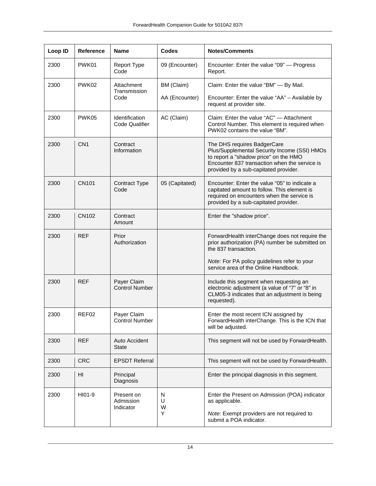| Loop ID | <b>Reference</b> | <b>Name</b>                                    | <b>Codes</b>     | <b>Notes/Comments</b>                                                                                                                                                                                          |
|---------|------------------|------------------------------------------------|------------------|----------------------------------------------------------------------------------------------------------------------------------------------------------------------------------------------------------------|
| 2300    | PWK01            | Report Type<br>Code                            | 09 (Encounter)   | Encounter: Enter the value "09" - Progress<br>Report.                                                                                                                                                          |
| 2300    | PWK02            | Attachment<br>Transmission                     | BM (Claim)       | Claim: Enter the value "BM" - By Mail.                                                                                                                                                                         |
|         |                  | Code                                           | AA (Encounter)   | Encounter: Enter the value "AA" - Available by<br>request at provider site.                                                                                                                                    |
| 2300    | PWK05            | <b>Identification</b><br><b>Code Qualifier</b> | AC (Claim)       | Claim: Enter the value "AC" - Attachment<br>Control Number. This element is required when<br>PWK02 contains the value "BM".                                                                                    |
| 2300    | CN <sub>1</sub>  | Contract<br>Information                        |                  | The DHS requires BadgerCare<br>Plus/Supplemental Security Income (SSI) HMOs<br>to report a "shadow price" on the HMO<br>Encounter 837 transaction when the service is<br>provided by a sub-capitated provider. |
| 2300    | <b>CN101</b>     | <b>Contract Type</b><br>Code                   | 05 (Capitated)   | Encounter: Enter the value "05" to indicate a<br>capitated amount to follow. This element is<br>required on encounters when the service is<br>provided by a sub-capitated provider.                            |
| 2300    | CN102            | Contract<br>Amount                             |                  | Enter the "shadow price".                                                                                                                                                                                      |
| 2300    | <b>REF</b>       | Prior<br>Authorization                         |                  | ForwardHealth interChange does not require the<br>prior authorization (PA) number be submitted on<br>the 837 transaction.<br>Note: For PA policy guidelines refer to your                                      |
|         |                  |                                                |                  | service area of the Online Handbook.                                                                                                                                                                           |
| 2300    | <b>REF</b>       | Payer Claim<br><b>Control Number</b>           |                  | Include this segment when requesting an<br>electronic adjustment (a value of "7" or "8" in<br>CLM05-3 indicates that an adjustment is being<br>requested).                                                     |
| 2300    | REF02            | Payer Claim<br>Control Number                  |                  | Enter the most recent ICN assigned by<br>ForwardHealth interChange. This is the ICN that<br>will be adjusted.                                                                                                  |
| 2300    | <b>REF</b>       | Auto Accident<br><b>State</b>                  |                  | This segment will not be used by ForwardHealth.                                                                                                                                                                |
| 2300    | <b>CRC</b>       | <b>EPSDT Referral</b>                          |                  | This segment will not be used by ForwardHealth.                                                                                                                                                                |
| 2300    | HI               | Principal<br>Diagnosis                         |                  | Enter the principal diagnosis in this segment.                                                                                                                                                                 |
| 2300    | HI01-9           | Present on<br>Admission<br>Indicator           | N<br>U<br>W<br>Y | Enter the Present on Admission (POA) indicator<br>as applicable.<br>Note: Exempt providers are not required to<br>submit a POA indicator.                                                                      |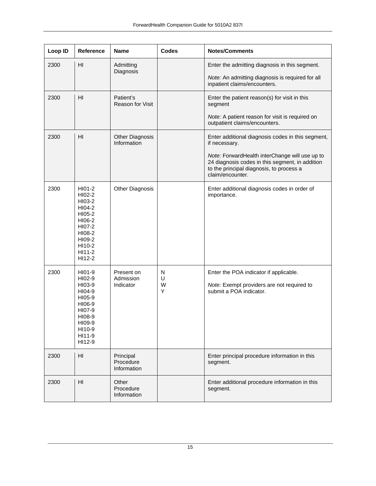| Loop ID | Reference                                                                                                            | <b>Name</b>                           | <b>Codes</b>     | <b>Notes/Comments</b>                                                                                                                                             |
|---------|----------------------------------------------------------------------------------------------------------------------|---------------------------------------|------------------|-------------------------------------------------------------------------------------------------------------------------------------------------------------------|
| 2300    | HI                                                                                                                   | Admitting<br>Diagnosis                |                  | Enter the admitting diagnosis in this segment.<br>Note: An admitting diagnosis is required for all                                                                |
|         |                                                                                                                      |                                       |                  | inpatient claims/encounters.                                                                                                                                      |
| 2300    | H <sub>l</sub>                                                                                                       | Patient's<br>Reason for Visit         |                  | Enter the patient reason(s) for visit in this<br>segment                                                                                                          |
|         |                                                                                                                      |                                       |                  | Note: A patient reason for visit is required on<br>outpatient claims/encounters.                                                                                  |
| 2300    | HI                                                                                                                   | <b>Other Diagnosis</b><br>Information |                  | Enter additional diagnosis codes in this segment,<br>if necessary.                                                                                                |
|         |                                                                                                                      |                                       |                  | Note: ForwardHealth interChange will use up to<br>24 diagnosis codes in this segment, in addition<br>to the principal diagnosis, to process a<br>claim/encounter. |
| 2300    | HI01-2<br>HI02-2<br>HI03-2<br>HI04-2<br>HI05-2<br>HI06-2<br>HI07-2<br>HI08-2<br>HI09-2<br>HI10-2<br>HI11-2<br>HI12-2 | <b>Other Diagnosis</b>                |                  | Enter additional diagnosis codes in order of<br>importance.                                                                                                       |
| 2300    | HI01-9<br>HI02-9<br>HI03-9<br>HI04-9<br>HI05-9<br>HI06-9<br>HI07-9<br>HI08-9<br>HI09-9<br>HI10-9<br>HI11-9<br>HI12-9 | Present on<br>Admission<br>Indicator  | N<br>U<br>W<br>Y | Enter the POA indicator if applicable.<br>Note: Exempt providers are not required to<br>submit a POA indicator.                                                   |
| 2300    | HI                                                                                                                   | Principal<br>Procedure<br>Information |                  | Enter principal procedure information in this<br>segment.                                                                                                         |
| 2300    | H <sub>II</sub>                                                                                                      | Other<br>Procedure<br>Information     |                  | Enter additional procedure information in this<br>segment.                                                                                                        |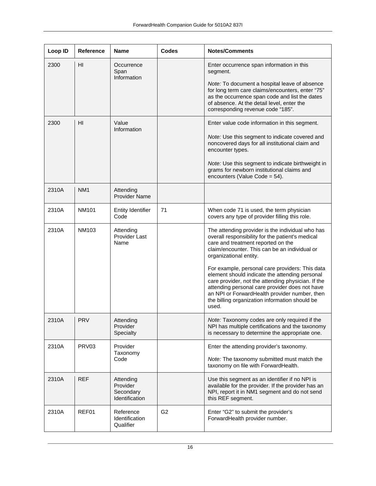| Loop ID | <b>Reference</b>  | <b>Name</b>                                          | <b>Codes</b>   | <b>Notes/Comments</b>                                                                                                                                                                                                                                                                                                                                                                                                                                                                                                                          |
|---------|-------------------|------------------------------------------------------|----------------|------------------------------------------------------------------------------------------------------------------------------------------------------------------------------------------------------------------------------------------------------------------------------------------------------------------------------------------------------------------------------------------------------------------------------------------------------------------------------------------------------------------------------------------------|
| 2300    | HI                | Occurrence<br>Span<br>Information                    |                | Enter occurrence span information in this<br>segment.<br>Note: To document a hospital leave of absence<br>for long term care claims/encounters, enter "75"<br>as the occurrence span code and list the dates<br>of absence. At the detail level, enter the<br>corresponding revenue code "185".                                                                                                                                                                                                                                                |
| 2300    | HI                | Value<br>Information                                 |                | Enter value code information in this segment.<br>Note: Use this segment to indicate covered and<br>noncovered days for all institutional claim and<br>encounter types.<br>Note: Use this segment to indicate birthweight in<br>grams for newborn institutional claims and<br>encounters (Value Code = 54).                                                                                                                                                                                                                                     |
| 2310A   | NM <sub>1</sub>   | Attending<br><b>Provider Name</b>                    |                |                                                                                                                                                                                                                                                                                                                                                                                                                                                                                                                                                |
| 2310A   | <b>NM101</b>      | <b>Entity Identifier</b><br>Code                     | 71             | When code 71 is used, the term physician<br>covers any type of provider filling this role.                                                                                                                                                                                                                                                                                                                                                                                                                                                     |
| 2310A   | <b>NM103</b>      | Attending<br>Provider Last<br>Name                   |                | The attending provider is the individual who has<br>overall responsibility for the patient's medical<br>care and treatment reported on the<br>claim/encounter. This can be an individual or<br>organizational entity.<br>For example, personal care providers: This data<br>element should indicate the attending personal<br>care provider, not the attending physician. If the<br>attending personal care provider does not have<br>an NPI or ForwardHealth provider number, then<br>the billing organization information should be<br>used. |
| 2310A   | <b>PRV</b>        | Attending<br>Provider<br>Specialty                   |                | Note: Taxonomy codes are only required if the<br>NPI has multiple certifications and the taxonomy<br>is necessary to determine the appropriate one.                                                                                                                                                                                                                                                                                                                                                                                            |
| 2310A   | PRV <sub>03</sub> | Provider<br>Taxonomy<br>Code                         |                | Enter the attending provider's taxonomy.<br>Note: The taxonomy submitted must match the<br>taxonomy on file with ForwardHealth.                                                                                                                                                                                                                                                                                                                                                                                                                |
| 2310A   | <b>REF</b>        | Attending<br>Provider<br>Secondary<br>Identification |                | Use this segment as an identifier if no NPI is<br>available for the provider. If the provider has an<br>NPI, report it in NM1 segment and do not send<br>this REF segment.                                                                                                                                                                                                                                                                                                                                                                     |
| 2310A   | REF01             | Reference<br>Identification<br>Qualifier             | G <sub>2</sub> | Enter "G2" to submit the provider's<br>ForwardHealth provider number.                                                                                                                                                                                                                                                                                                                                                                                                                                                                          |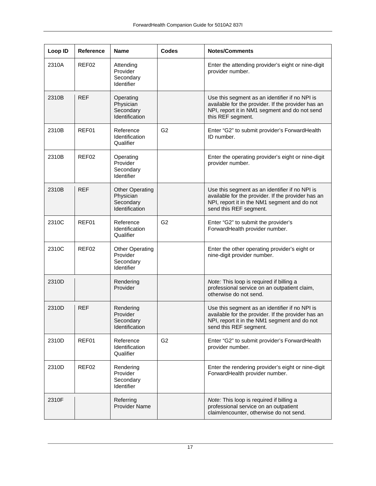| Loop ID | <b>Reference</b>  | <b>Name</b>                                                        | <b>Codes</b>   | <b>Notes/Comments</b>                                                                                                                                                          |
|---------|-------------------|--------------------------------------------------------------------|----------------|--------------------------------------------------------------------------------------------------------------------------------------------------------------------------------|
| 2310A   | REF02             | Attending<br>Provider<br>Secondary<br>Identifier                   |                | Enter the attending provider's eight or nine-digit<br>provider number.                                                                                                         |
| 2310B   | <b>REF</b>        | Operating<br>Physician<br>Secondary<br>Identification              |                | Use this segment as an identifier if no NPI is<br>available for the provider. If the provider has an<br>NPI, report it in NM1 segment and do not send<br>this REF segment.     |
| 2310B   | REF01             | Reference<br>Identification<br>Qualifier                           | G <sub>2</sub> | Enter "G2" to submit provider's ForwardHealth<br>ID number.                                                                                                                    |
| 2310B   | REF <sub>02</sub> | Operating<br>Provider<br>Secondary<br>Identifier                   |                | Enter the operating provider's eight or nine-digit<br>provider number.                                                                                                         |
| 2310B   | <b>REF</b>        | <b>Other Operating</b><br>Physician<br>Secondary<br>Identification |                | Use this segment as an identifier if no NPI is<br>available for the provider. If the provider has an<br>NPI, report it in the NM1 segment and do not<br>send this REF segment. |
| 2310C   | REF01             | Reference<br>Identification<br>Qualifier                           | G <sub>2</sub> | Enter "G2" to submit the provider's<br>ForwardHealth provider number.                                                                                                          |
| 2310C   | REF02             | <b>Other Operating</b><br>Provider<br>Secondary<br>Identifier      |                | Enter the other operating provider's eight or<br>nine-digit provider number.                                                                                                   |
| 2310D   |                   | Rendering<br>Provider                                              |                | Note: This loop is required if billing a<br>professional service on an outpatient claim,<br>otherwise do not send.                                                             |
| 2310D   | <b>REF</b>        | Rendering<br>Provider<br>Secondary<br>Identification               |                | Use this segment as an identifier if no NPI is<br>available for the provider. If the provider has an<br>NPI, report it in the NM1 segment and do not<br>send this REF segment. |
| 2310D   | REF01             | Reference<br>Identification<br>Qualifier                           | G <sub>2</sub> | Enter "G2" to submit provider's ForwardHealth<br>provider number.                                                                                                              |
| 2310D   | REF02             | Rendering<br>Provider<br>Secondary<br>Identifier                   |                | Enter the rendering provider's eight or nine-digit<br>ForwardHealth provider number.                                                                                           |
| 2310F   |                   | Referring<br><b>Provider Name</b>                                  |                | Note: This loop is required if billing a<br>professional service on an outpatient<br>claim/encounter, otherwise do not send.                                                   |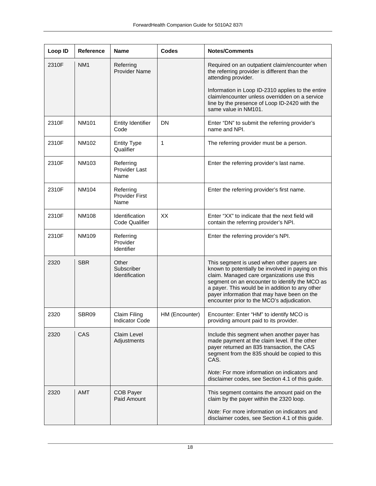| Loop ID | <b>Reference</b> | <b>Name</b>                                | <b>Codes</b>   | <b>Notes/Comments</b>                                                                                                                                                                                                                                                                                                                            |
|---------|------------------|--------------------------------------------|----------------|--------------------------------------------------------------------------------------------------------------------------------------------------------------------------------------------------------------------------------------------------------------------------------------------------------------------------------------------------|
| 2310F   | NM1              | Referring<br><b>Provider Name</b>          |                | Required on an outpatient claim/encounter when<br>the referring provider is different than the<br>attending provider.                                                                                                                                                                                                                            |
|         |                  |                                            |                | Information in Loop ID-2310 applies to the entire<br>claim/encounter unless overridden on a service<br>line by the presence of Loop ID-2420 with the<br>same value in NM101.                                                                                                                                                                     |
| 2310F   | <b>NM101</b>     | <b>Entity Identifier</b><br>Code           | <b>DN</b>      | Enter "DN" to submit the referring provider's<br>name and NPI.                                                                                                                                                                                                                                                                                   |
| 2310F   | NM102            | <b>Entity Type</b><br>Qualifier            | 1              | The referring provider must be a person.                                                                                                                                                                                                                                                                                                         |
| 2310F   | <b>NM103</b>     | Referring<br><b>Provider Last</b><br>Name  |                | Enter the referring provider's last name.                                                                                                                                                                                                                                                                                                        |
| 2310F   | <b>NM104</b>     | Referring<br><b>Provider First</b><br>Name |                | Enter the referring provider's first name.                                                                                                                                                                                                                                                                                                       |
| 2310F   | <b>NM108</b>     | Identification<br><b>Code Qualifier</b>    | XX             | Enter "XX" to indicate that the next field will<br>contain the referring provider's NPI.                                                                                                                                                                                                                                                         |
| 2310F   | NM109            | Referring<br>Provider<br>Identifier        |                | Enter the referring provider's NPI.                                                                                                                                                                                                                                                                                                              |
| 2320    | <b>SBR</b>       | Other<br>Subscriber<br>Identification      |                | This segment is used when other payers are<br>known to potentially be involved in paying on this<br>claim. Managed care organizations use this<br>segment on an encounter to identify the MCO as<br>a payer. This would be in addition to any other<br>payer information that may have been on the<br>encounter prior to the MCO's adjudication. |
| 2320    | SBR09            | Claim Filing<br>Indicator Code             | HM (Encounter) | Encounter: Enter "HM" to identify MCO is<br>providing amount paid to its provider.                                                                                                                                                                                                                                                               |
| 2320    | <b>CAS</b>       | Claim Level<br>Adjustments                 |                | Include this segment when another payer has<br>made payment at the claim level. If the other<br>payer returned an 835 transaction, the CAS<br>segment from the 835 should be copied to this<br>CAS.                                                                                                                                              |
|         |                  |                                            |                | Note: For more information on indicators and<br>disclaimer codes, see Section 4.1 of this guide.                                                                                                                                                                                                                                                 |
| 2320    | <b>AMT</b>       | <b>COB Payer</b><br>Paid Amount            |                | This segment contains the amount paid on the<br>claim by the payer within the 2320 loop.                                                                                                                                                                                                                                                         |
|         |                  |                                            |                | Note: For more information on indicators and<br>disclaimer codes, see Section 4.1 of this guide.                                                                                                                                                                                                                                                 |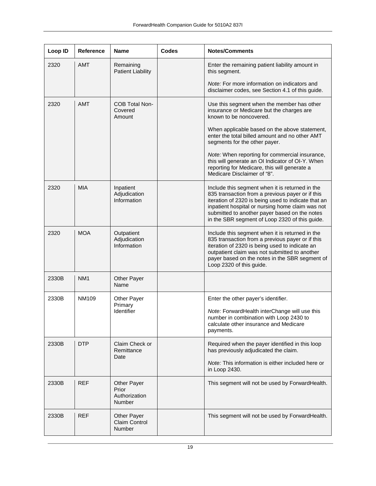| Loop ID | <b>Reference</b> | <b>Name</b>                                                   | <b>Codes</b> | <b>Notes/Comments</b>                                                                                                                                                                                                                                                                                             |
|---------|------------------|---------------------------------------------------------------|--------------|-------------------------------------------------------------------------------------------------------------------------------------------------------------------------------------------------------------------------------------------------------------------------------------------------------------------|
| 2320    | <b>AMT</b>       | Remaining<br><b>Patient Liability</b>                         |              | Enter the remaining patient liability amount in<br>this segment.                                                                                                                                                                                                                                                  |
|         |                  |                                                               |              | <i>Note:</i> For more information on indicators and<br>disclaimer codes, see Section 4.1 of this guide.                                                                                                                                                                                                           |
| 2320    | <b>AMT</b>       | <b>COB Total Non-</b><br>Covered<br>Amount                    |              | Use this segment when the member has other<br>insurance or Medicare but the charges are<br>known to be noncovered.                                                                                                                                                                                                |
|         |                  |                                                               |              | When applicable based on the above statement,<br>enter the total billed amount and no other AMT<br>segments for the other payer.                                                                                                                                                                                  |
|         |                  |                                                               |              | Note: When reporting for commercial insurance,<br>this will generate an OI Indicator of OI-Y. When<br>reporting for Medicare, this will generate a<br>Medicare Disclaimer of "8".                                                                                                                                 |
| 2320    | <b>MIA</b>       | Inpatient<br>Adjudication<br>Information                      |              | Include this segment when it is returned in the<br>835 transaction from a previous payer or if this<br>iteration of 2320 is being used to indicate that an<br>inpatient hospital or nursing home claim was not<br>submitted to another payer based on the notes<br>in the SBR segment of Loop 2320 of this guide. |
| 2320    | <b>MOA</b>       | Outpatient<br>Adjudication<br>Information                     |              | Include this segment when it is returned in the<br>835 transaction from a previous payer or if this<br>iteration of 2320 is being used to indicate an<br>outpatient claim was not submitted to another<br>payer based on the notes in the SBR segment of<br>Loop 2320 of this guide.                              |
| 2330B   | NM <sub>1</sub>  | Other Payer<br>Name                                           |              |                                                                                                                                                                                                                                                                                                                   |
| 2330B   | NM109            | Other Payer<br>Primary                                        |              | Enter the other payer's identifier.                                                                                                                                                                                                                                                                               |
|         |                  | Identifier                                                    |              | Note: ForwardHealth interChange will use this<br>number in combination with Loop 2430 to<br>calculate other insurance and Medicare<br>payments.                                                                                                                                                                   |
| 2330B   | <b>DTP</b>       | Claim Check or<br>Remittance<br>Date                          |              | Required when the payer identified in this loop<br>has previously adjudicated the claim.                                                                                                                                                                                                                          |
|         |                  |                                                               |              | Note: This information is either included here or<br>in Loop 2430.                                                                                                                                                                                                                                                |
| 2330B   | <b>REF</b>       | <b>Other Payer</b><br>Prior<br>Authorization<br><b>Number</b> |              | This segment will not be used by ForwardHealth.                                                                                                                                                                                                                                                                   |
| 2330B   | <b>REF</b>       | <b>Other Payer</b><br><b>Claim Control</b><br>Number          |              | This segment will not be used by ForwardHealth.                                                                                                                                                                                                                                                                   |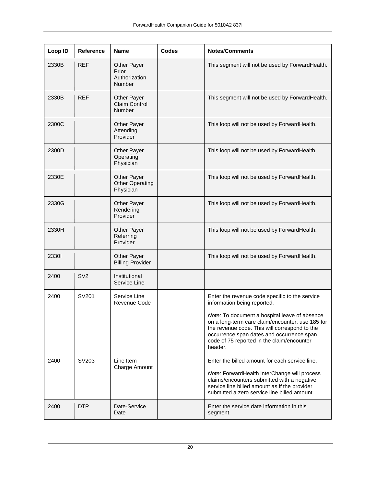| Loop ID | Reference       | <b>Name</b>                                            | <b>Codes</b> | <b>Notes/Comments</b>                                                                                                                                                                                                                                    |
|---------|-----------------|--------------------------------------------------------|--------------|----------------------------------------------------------------------------------------------------------------------------------------------------------------------------------------------------------------------------------------------------------|
| 2330B   | <b>REF</b>      | Other Payer<br>Prior<br>Authorization<br><b>Number</b> |              | This segment will not be used by ForwardHealth.                                                                                                                                                                                                          |
| 2330B   | <b>REF</b>      | <b>Other Payer</b><br>Claim Control<br><b>Number</b>   |              | This segment will not be used by ForwardHealth.                                                                                                                                                                                                          |
| 2300C   |                 | <b>Other Payer</b><br>Attending<br>Provider            |              | This loop will not be used by ForwardHealth.                                                                                                                                                                                                             |
| 2300D   |                 | <b>Other Payer</b><br>Operating<br>Physician           |              | This loop will not be used by ForwardHealth.                                                                                                                                                                                                             |
| 2330E   |                 | Other Payer<br><b>Other Operating</b><br>Physician     |              | This loop will not be used by ForwardHealth.                                                                                                                                                                                                             |
| 2330G   |                 | <b>Other Payer</b><br>Rendering<br>Provider            |              | This loop will not be used by ForwardHealth.                                                                                                                                                                                                             |
| 2330H   |                 | <b>Other Payer</b><br>Referring<br>Provider            |              | This loop will not be used by ForwardHealth.                                                                                                                                                                                                             |
| 23301   |                 | Other Payer<br><b>Billing Provider</b>                 |              | This loop will not be used by ForwardHealth.                                                                                                                                                                                                             |
| 2400    | SV <sub>2</sub> | Institutional<br>Service Line                          |              |                                                                                                                                                                                                                                                          |
| 2400    | SV201           | Service Line<br><b>Revenue Code</b>                    |              | Enter the revenue code specific to the service<br>information being reported.                                                                                                                                                                            |
|         |                 |                                                        |              | Note: To document a hospital leave of absence<br>on a long-term care claim/encounter, use 185 for<br>the revenue code. This will correspond to the<br>occurrence span dates and occurrence span<br>code of 75 reported in the claim/encounter<br>header. |
| 2400    | SV203           | Line Item<br>Charge Amount                             |              | Enter the billed amount for each service line.<br>Note: ForwardHealth interChange will process<br>claims/encounters submitted with a negative<br>service line billed amount as if the provider<br>submitted a zero service line billed amount.           |
| 2400    | <b>DTP</b>      | Date-Service<br>Date                                   |              | Enter the service date information in this<br>segment.                                                                                                                                                                                                   |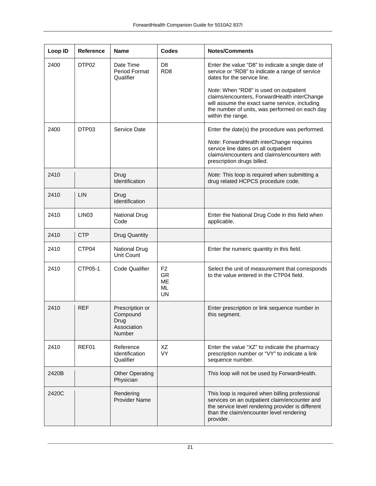| Loop ID | <b>Reference</b>  | <b>Name</b>                                                         | <b>Codes</b>                                                       | <b>Notes/Comments</b>                                                                                                                                                                                          |
|---------|-------------------|---------------------------------------------------------------------|--------------------------------------------------------------------|----------------------------------------------------------------------------------------------------------------------------------------------------------------------------------------------------------------|
| 2400    | DTP02             | Date Time<br><b>Period Format</b><br>Qualifier                      | D <sub>8</sub><br>RD <sub>8</sub>                                  | Enter the value "D8" to indicate a single date of<br>service or "RD8" to indicate a range of service<br>dates for the service line.                                                                            |
|         |                   |                                                                     |                                                                    | Note: When "RD8" is used on outpatient<br>claims/encounters, ForwardHealth interChange<br>will assume the exact same service, including<br>the number of units, was performed on each day<br>within the range. |
| 2400    | DTP03             | Service Date                                                        |                                                                    | Enter the date(s) the procedure was performed.                                                                                                                                                                 |
|         |                   |                                                                     |                                                                    | Note: ForwardHealth interChange requires<br>service line dates on all outpatient<br>claims/encounters and claims/encounters with<br>prescription drugs billed.                                                 |
| 2410    |                   | Drug<br>Identification                                              |                                                                    | Note: This loop is required when submitting a<br>drug related HCPCS procedure code.                                                                                                                            |
| 2410    | LIN               | Drug<br>Identification                                              |                                                                    |                                                                                                                                                                                                                |
| 2410    | LIN <sub>03</sub> | <b>National Drug</b><br>Code                                        |                                                                    | Enter the National Drug Code in this field when<br>applicable.                                                                                                                                                 |
| 2410    | <b>CTP</b>        | <b>Drug Quantity</b>                                                |                                                                    |                                                                                                                                                                                                                |
| 2410    | CTP04             | <b>National Drug</b><br>Unit Count                                  |                                                                    | Enter the numeric quantity in this field.                                                                                                                                                                      |
| 2410    | CTP05-1           | <b>Code Qualifier</b>                                               | F <sub>2</sub><br><b>GR</b><br><b>ME</b><br><b>ML</b><br><b>UN</b> | Select the unit of measurement that corresponds<br>to the value entered in the CTP04 field.                                                                                                                    |
| 2410    | <b>REF</b>        | Prescription or<br>Compound<br>Drug<br>Association<br><b>Number</b> |                                                                    | Enter prescription or link sequence number in<br>this segment.                                                                                                                                                 |
| 2410    | REF01             | Reference<br>Identification<br>Qualifier                            | XZ<br><b>VY</b>                                                    | Enter the value "XZ" to indicate the pharmacy<br>prescription number or "VY" to indicate a link<br>sequence number.                                                                                            |
| 2420B   |                   | <b>Other Operating</b><br>Physician                                 |                                                                    | This loop will not be used by ForwardHealth.                                                                                                                                                                   |
| 2420C   |                   | Rendering<br><b>Provider Name</b>                                   |                                                                    | This loop is required when billing professional<br>services on an outpatient claim/encounter and<br>the service level rendering provider is different<br>than the claim/encounter level rendering<br>provider. |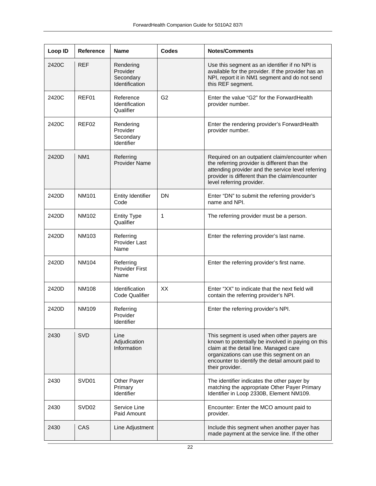| Loop ID | Reference         | <b>Name</b>                                          | <b>Codes</b>   | <b>Notes/Comments</b>                                                                                                                                                                                                                                        |
|---------|-------------------|------------------------------------------------------|----------------|--------------------------------------------------------------------------------------------------------------------------------------------------------------------------------------------------------------------------------------------------------------|
| 2420C   | <b>REF</b>        | Rendering<br>Provider<br>Secondary<br>Identification |                | Use this segment as an identifier if no NPI is<br>available for the provider. If the provider has an<br>NPI, report it in NM1 segment and do not send<br>this REF segment.                                                                                   |
| 2420C   | REF01             | Reference<br>Identification<br>Qualifier             | G <sub>2</sub> | Enter the value "G2" for the ForwardHealth<br>provider number.                                                                                                                                                                                               |
| 2420C   | REF02             | Rendering<br>Provider<br>Secondary<br>Identifier     |                | Enter the rendering provider's ForwardHealth<br>provider number.                                                                                                                                                                                             |
| 2420D   | NM <sub>1</sub>   | Referring<br><b>Provider Name</b>                    |                | Required on an outpatient claim/encounter when<br>the referring provider is different than the<br>attending provider and the service level referring<br>provider is different than the claim/encounter<br>level referring provider.                          |
| 2420D   | <b>NM101</b>      | <b>Entity Identifier</b><br>Code                     | DN             | Enter "DN" to submit the referring provider's<br>name and NPI.                                                                                                                                                                                               |
| 2420D   | NM102             | <b>Entity Type</b><br>Qualifier                      | 1              | The referring provider must be a person.                                                                                                                                                                                                                     |
| 2420D   | NM103             | Referring<br><b>Provider Last</b><br>Name            |                | Enter the referring provider's last name.                                                                                                                                                                                                                    |
| 2420D   | NM104             | Referring<br><b>Provider First</b><br>Name           |                | Enter the referring provider's first name.                                                                                                                                                                                                                   |
| 2420D   | <b>NM108</b>      | Identification<br><b>Code Qualifier</b>              | XX             | Enter "XX" to indicate that the next field will<br>contain the referring provider's NPI.                                                                                                                                                                     |
| 2420D   | NM109             | Referring<br>Provider<br>Identifier                  |                | Enter the referring provider's NPI.                                                                                                                                                                                                                          |
| 2430    | <b>SVD</b>        | Line<br>Adjudication<br>Information                  |                | This segment is used when other payers are<br>known to potentially be involved in paying on this<br>claim at the detail line. Managed care<br>organizations can use this segment on an<br>encounter to identify the detail amount paid to<br>their provider. |
| 2430    | SVD01             | Other Payer<br>Primary<br>Identifier                 |                | The identifier indicates the other payer by<br>matching the appropriate Other Payer Primary<br>Identifier in Loop 2330B, Element NM109.                                                                                                                      |
| 2430    | SVD <sub>02</sub> | Service Line<br>Paid Amount                          |                | Encounter: Enter the MCO amount paid to<br>provider.                                                                                                                                                                                                         |
| 2430    | CAS               | Line Adjustment                                      |                | Include this segment when another payer has<br>made payment at the service line. If the other                                                                                                                                                                |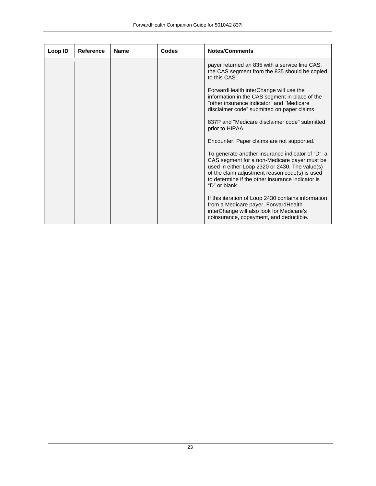| Loop ID | Reference | <b>Name</b> | Codes | <b>Notes/Comments</b>                                                                                                                                                                                                                                                      |
|---------|-----------|-------------|-------|----------------------------------------------------------------------------------------------------------------------------------------------------------------------------------------------------------------------------------------------------------------------------|
|         |           |             |       | payer returned an 835 with a service line CAS,<br>the CAS segment from the 835 should be copied<br>to this CAS.                                                                                                                                                            |
|         |           |             |       | ForwardHealth interChange will use the<br>information in the CAS segment in place of the<br>"other insurance indicator" and "Medicare<br>disclaimer code" submitted on paper claims.                                                                                       |
|         |           |             |       | 837P and "Medicare disclaimer code" submitted<br>prior to HIPAA.                                                                                                                                                                                                           |
|         |           |             |       | Encounter: Paper claims are not supported.                                                                                                                                                                                                                                 |
|         |           |             |       | To generate another insurance indicator of "D", a<br>CAS segment for a non-Medicare payer must be<br>used in either Loop 2320 or 2430. The value(s)<br>of the claim adjustment reason code(s) is used<br>to determine if the other insurance indicator is<br>"D" or blank. |
|         |           |             |       | If this iteration of Loop 2430 contains information<br>from a Medicare payer, ForwardHealth<br>interChange will also look for Medicare's<br>coinsurance, copayment, and deductible.                                                                                        |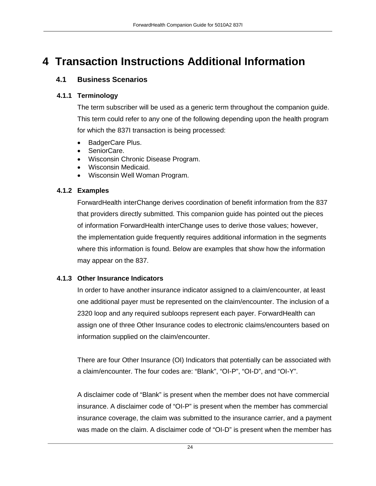### <span id="page-23-1"></span><span id="page-23-0"></span>**4 Transaction Instructions Additional Information**

#### **4.1 Business Scenarios**

#### <span id="page-23-2"></span>**4.1.1 Terminology**

The term subscriber will be used as a generic term throughout the companion guide. This term could refer to any one of the following depending upon the health program for which the 837I transaction is being processed:

- BadgerCare Plus.
- SeniorCare.
- Wisconsin Chronic Disease Program.
- Wisconsin Medicaid.
- Wisconsin Well Woman Program.

#### <span id="page-23-3"></span>**4.1.2 Examples**

ForwardHealth interChange derives coordination of benefit information from the 837 that providers directly submitted. This companion guide has pointed out the pieces of information ForwardHealth interChange uses to derive those values; however, the implementation guide frequently requires additional information in the segments where this information is found. Below are examples that show how the information may appear on the 837.

#### <span id="page-23-4"></span>**4.1.3 Other Insurance Indicators**

In order to have another insurance indicator assigned to a claim/encounter, at least one additional payer must be represented on the claim/encounter. The inclusion of a 2320 loop and any required subloops represent each payer. ForwardHealth can assign one of three Other Insurance codes to electronic claims/encounters based on information supplied on the claim/encounter.

There are four Other Insurance (OI) Indicators that potentially can be associated with a claim/encounter. The four codes are: "Blank", "OI-P", "OI-D", and "OI-Y".

A disclaimer code of "Blank" is present when the member does not have commercial insurance. A disclaimer code of "OI-P" is present when the member has commercial insurance coverage, the claim was submitted to the insurance carrier, and a payment was made on the claim. A disclaimer code of "OI-D" is present when the member has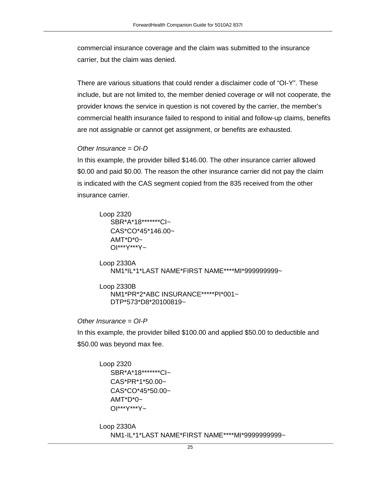commercial insurance coverage and the claim was submitted to the insurance carrier, but the claim was denied.

There are various situations that could render a disclaimer code of "OI-Y". These include, but are not limited to, the member denied coverage or will not cooperate, the provider knows the service in question is not covered by the carrier, the member's commercial health insurance failed to respond to initial and follow-up claims, benefits are not assignable or cannot get assignment, or benefits are exhausted.

#### *Other Insurance = OI-D*

In this example, the provider billed \$146.00. The other insurance carrier allowed \$0.00 and paid \$0.00. The reason the other insurance carrier did not pay the claim is indicated with the CAS segment copied from the 835 received from the other insurance carrier.

Loop 2320 SBR\*A\*18\*\*\*\*\*\*\*CI~ CAS\*CO\*45\*146.00~  $AMT^*D^*0$ ~ OI\*\*\*Y\*\*\*Y~

Loop 2330A NM1\*IL\*1\*LAST NAME\*FIRST NAME\*\*\*\*MI\*999999999~

Loop 2330B NM1\*PR\*2\*ABC INSURANCE\*\*\*\*\*PI\*001~ DTP\*573\*D8\*20100819~

*Other Insurance = OI-P*

In this example, the provider billed \$100.00 and applied \$50.00 to deductible and \$50.00 was beyond max fee.

Loop 2320 SBR\*A\*18\*\*\*\*\*\*\*CI~ CAS\*PR\*1\*50.00~ CAS\*CO\*45\*50.00~  $AMT^*D^*0$ ~ OI\*\*\*Y\*\*\*Y~

Loop 2330A NM1-IL\*1\*LAST NAME\*FIRST NAME\*\*\*\*MI\*9999999999~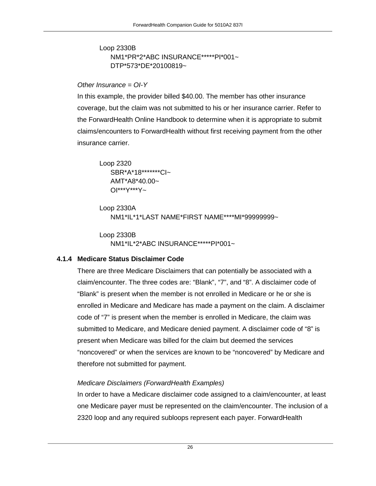Loop 2330B NM1\*PR\*2\*ABC INSURANCE\*\*\*\*\*PI\*001~ DTP\*573\*DE\*20100819~

#### *Other Insurance = OI-Y*

In this example, the provider billed \$40.00. The member has other insurance coverage, but the claim was not submitted to his or her insurance carrier. Refer to the ForwardHealth Online Handbook to determine when it is appropriate to submit claims/encounters to ForwardHealth without first receiving payment from the other insurance carrier.

Loop 2320 SBR\*A\*18\*\*\*\*\*\*\*CI~ AMT\*A8\*40.00~ OI\*\*\*Y\*\*\*Y~

```
Loop 2330A
   NM1*IL*1*LAST NAME*FIRST NAME****MI*99999999~
```
Loop 2330B NM1\*IL\*2\*ABC INSURANCE\*\*\*\*\*PI\*001~

#### <span id="page-25-0"></span>**4.1.4 Medicare Status Disclaimer Code**

There are three Medicare Disclaimers that can potentially be associated with a claim/encounter. The three codes are: "Blank", "7", and "8". A disclaimer code of "Blank" is present when the member is not enrolled in Medicare or he or she is enrolled in Medicare and Medicare has made a payment on the claim. A disclaimer code of "7" is present when the member is enrolled in Medicare, the claim was submitted to Medicare, and Medicare denied payment. A disclaimer code of "8" is present when Medicare was billed for the claim but deemed the services "noncovered" or when the services are known to be "noncovered" by Medicare and therefore not submitted for payment.

#### *Medicare Disclaimers (ForwardHealth Examples)*

In order to have a Medicare disclaimer code assigned to a claim/encounter, at least one Medicare payer must be represented on the claim/encounter. The inclusion of a 2320 loop and any required subloops represent each payer. ForwardHealth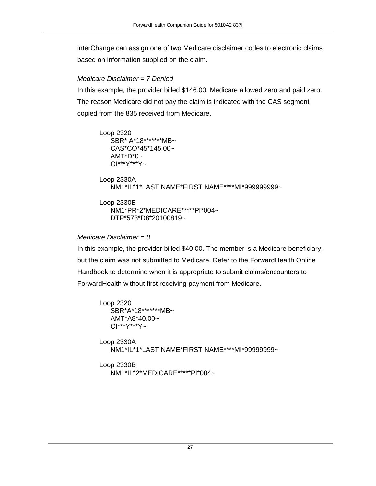interChange can assign one of two Medicare disclaimer codes to electronic claims based on information supplied on the claim.

#### *Medicare Disclaimer = 7 Denied*

In this example, the provider billed \$146.00. Medicare allowed zero and paid zero. The reason Medicare did not pay the claim is indicated with the CAS segment copied from the 835 received from Medicare.

Loop 2320 SBR\* A\*18\*\*\*\*\*\*\*MB~ CAS\*CO\*45\*145.00~  $AMT^*D^*0$ ~ OI\*\*\*Y\*\*\*Y~

```
Loop 2330A
   NM1*IL*1*LAST NAME*FIRST NAME****MI*999999999~
```

```
Loop 2330B
   NM1*PR*2*MEDICARE*****PI*004~
   DTP*573*D8*20100819~
```
#### *Medicare Disclaimer = 8*

In this example, the provider billed \$40.00. The member is a Medicare beneficiary, but the claim was not submitted to Medicare. Refer to the ForwardHealth Online Handbook to determine when it is appropriate to submit claims/encounters to ForwardHealth without first receiving payment from Medicare.

```
Loop 2320
   SBR*A*18*******MB~
   AMT*A8*40.00~
   OI***Y***Y~
Loop 2330A
   NM1*IL*1*LAST NAME*FIRST NAME****MI*99999999~
Loop 2330B
```

```
NM1*IL*2*MEDICARE*****PI*004~
```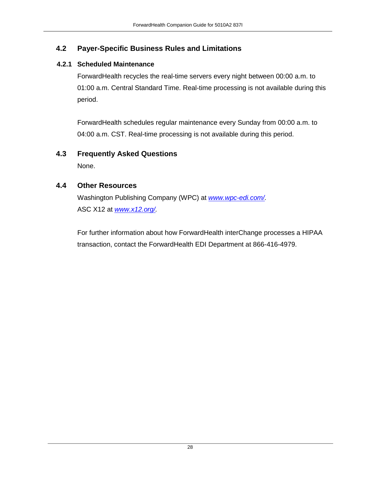#### <span id="page-27-0"></span>**4.2 Payer-Specific Business Rules and Limitations**

#### <span id="page-27-1"></span>**4.2.1 Scheduled Maintenance**

ForwardHealth recycles the real-time servers every night between 00:00 a.m. to 01:00 a.m. Central Standard Time. Real-time processing is not available during this period.

ForwardHealth schedules regular maintenance every Sunday from 00:00 a.m. to 04:00 a.m. CST. Real-time processing is not available during this period.

#### <span id="page-27-2"></span>**4.3 Frequently Asked Questions**

None.

#### <span id="page-27-3"></span>**4.4 Other Resources**

Washington Publishing Company (WPC) at *[www.wpc-edi.com/.](http://www.wpc-edi.com/)* ASC X12 at *[www.x12.org/.](http://www.x12.org/)*

For further information about how ForwardHealth interChange processes a HIPAA transaction, contact the ForwardHealth EDI Department at 866-416-4979.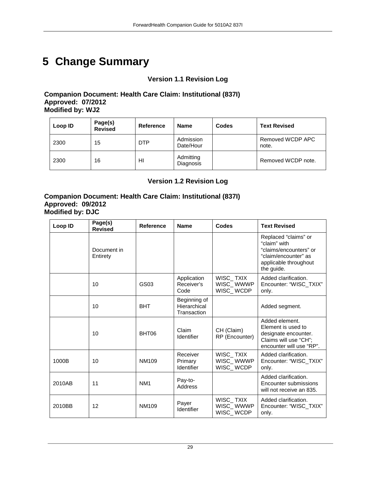## <span id="page-28-0"></span>**5 Change Summary**

#### **Version 1.1 Revision Log**

#### **Companion Document: Health Care Claim: Institutional (837I) Approved: 07/2012 Modified by: WJ2**

| Loop ID | Page(s)<br><b>Revised</b> | Reference  | <b>Name</b>            | Codes | <b>Text Revised</b>       |
|---------|---------------------------|------------|------------------------|-------|---------------------------|
| 2300    | 15                        | <b>DTP</b> | Admission<br>Date/Hour |       | Removed WCDP APC<br>note. |
| 2300    | 16                        | HI         | Admitting<br>Diagnosis |       | Removed WCDP note.        |

#### **Version 1.2 Revision Log**

#### **Companion Document: Health Care Claim: Institutional (837I) Approved: 09/2012 Modified by: DJC**

| Loop ID | Page(s)<br><b>Revised</b> | <b>Reference</b> | <b>Name</b>                                 | Codes                               | <b>Text Revised</b>                                                                                                           |
|---------|---------------------------|------------------|---------------------------------------------|-------------------------------------|-------------------------------------------------------------------------------------------------------------------------------|
|         | Document in<br>Entirety   |                  |                                             |                                     | Replaced "claims" or<br>"claim" with<br>"claims/encounters" or<br>"claim/encounter" as<br>applicable throughout<br>the guide. |
|         | 10                        | GS03             | Application<br>Receiver's<br>Code           | WISC_TXIX<br>WISC_WWWP<br>WISC_WCDP | Added clarification.<br>Encounter: "WISC_TXIX"<br>only.                                                                       |
|         | 10                        | <b>BHT</b>       | Beginning of<br>Hierarchical<br>Transaction |                                     | Added segment.                                                                                                                |
|         | 10                        | BHT06            | Claim<br>Identifier                         | CH (Claim)<br>RP (Encounter)        | Added element.<br>Element is used to<br>designate encounter.<br>Claims will use "CH";<br>encounter will use "RP".             |
| 1000B   | 10                        | NM109            | Receiver<br>Primary<br>Identifier           | WISC_TXIX<br>WISC_WWWP<br>WISC_WCDP | Added clarification.<br>Encounter: "WISC_TXIX"<br>only.                                                                       |
| 2010AB  | 11                        | NM <sub>1</sub>  | Pay-to-<br>Address                          |                                     | Added clarification.<br>Encounter submissions<br>will not receive an 835.                                                     |
| 2010BB  | 12                        | NM109            | Payer<br>Identifier                         | WISC_TXIX<br>WISC_WWWP<br>WISC_WCDP | Added clarification.<br>Encounter: "WISC TXIX"<br>only.                                                                       |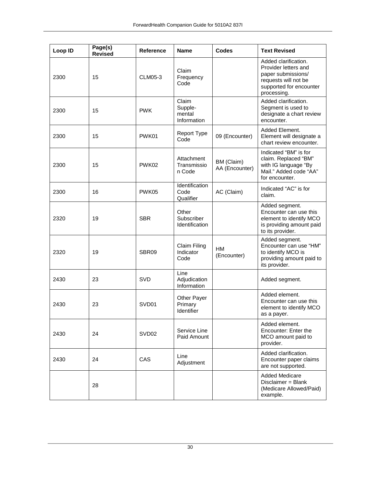| Loop ID | Page(s)<br><b>Revised</b> | Reference         | <b>Name</b>                                 | <b>Codes</b>                 | <b>Text Revised</b>                                                                                                                  |
|---------|---------------------------|-------------------|---------------------------------------------|------------------------------|--------------------------------------------------------------------------------------------------------------------------------------|
| 2300    | 15                        | CLM05-3           | Claim<br>Frequency<br>Code                  |                              | Added clarification.<br>Provider letters and<br>paper submissions/<br>requests will not be<br>supported for encounter<br>processing. |
| 2300    | 15                        | <b>PWK</b>        | Claim<br>Supple-<br>mental<br>Information   |                              | Added clarification.<br>Segment is used to<br>designate a chart review<br>encounter.                                                 |
| 2300    | 15                        | PWK01             | <b>Report Type</b><br>Code                  | 09 (Encounter)               | Added Element.<br>Element will designate a<br>chart review encounter.                                                                |
| 2300    | 15                        | PWK02             | Attachment<br>Transmissio<br>n Code         | BM (Claim)<br>AA (Encounter) | Indicated "BM" is for<br>claim. Replaced "BM"<br>with IG language "By<br>Mail." Added code "AA"<br>for encounter.                    |
| 2300    | 16                        | PWK05             | Identification<br>Code<br>Qualifier         | AC (Claim)                   | Indicated "AC" is for<br>claim.                                                                                                      |
| 2320    | 19                        | <b>SBR</b>        | Other<br>Subscriber<br>Identification       |                              | Added segment.<br>Encounter can use this<br>element to identify MCO<br>is providing amount paid<br>to its provider.                  |
| 2320    | 19                        | SBR09             | Claim Filing<br>Indicator<br>Code           | <b>HM</b><br>(Encounter)     | Added segment.<br>Encounter can use "HM"<br>to identify MCO is<br>providing amount paid to<br>its provider.                          |
| 2430    | 23                        | SVD               | Line<br>Adjudication<br>Information         |                              | Added segment.                                                                                                                       |
| 2430    | 23                        | SVD01             | <b>Other Payer</b><br>Primary<br>Identifier |                              | Added element.<br>Encounter can use this<br>element to identify MCO<br>as a payer.                                                   |
| 2430    | 24                        | SVD <sub>02</sub> | Service Line<br>Paid Amount                 |                              | Added element.<br>Encounter: Enter the<br>MCO amount paid to<br>provider.                                                            |
| 2430    | 24                        | CAS               | Line<br>Adjustment                          |                              | Added clarification.<br>Encounter paper claims<br>are not supported.                                                                 |
|         | 28                        |                   |                                             |                              | <b>Added Medicare</b><br>Disclaimer = Blank<br>(Medicare Allowed/Paid)<br>example.                                                   |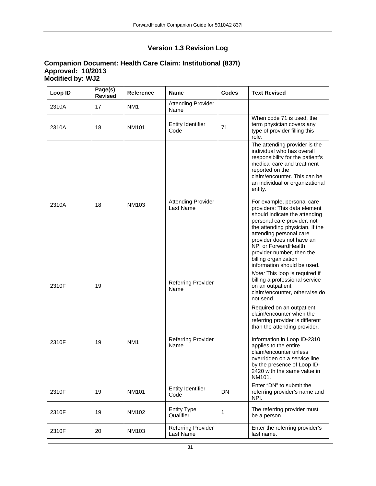#### **Version 1.3 Revision Log**

#### **Companion Document: Health Care Claim: Institutional (837I) Approved: 10/2013 Modified by: WJ2**

| Loop ID | Page(s)<br><b>Revised</b> | Reference       | <b>Name</b>                            | <b>Codes</b> | <b>Text Revised</b>                                                                                                                                                                                                                                                                                                |
|---------|---------------------------|-----------------|----------------------------------------|--------------|--------------------------------------------------------------------------------------------------------------------------------------------------------------------------------------------------------------------------------------------------------------------------------------------------------------------|
| 2310A   | 17                        | NM <sub>1</sub> | <b>Attending Provider</b><br>Name      |              |                                                                                                                                                                                                                                                                                                                    |
| 2310A   | 18                        | <b>NM101</b>    | <b>Entity Identifier</b><br>Code       | 71           | When code 71 is used, the<br>term physician covers any<br>type of provider filling this<br>role.                                                                                                                                                                                                                   |
| 2310A   | 18                        | NM103           | <b>Attending Provider</b><br>Last Name |              | The attending provider is the<br>individual who has overall<br>responsibility for the patient's<br>medical care and treatment<br>reported on the<br>claim/encounter. This can be<br>an individual or organizational<br>entity.<br>For example, personal care<br>providers: This data element                       |
|         |                           |                 |                                        |              | should indicate the attending<br>personal care provider, not<br>the attending physician. If the<br>attending personal care<br>provider does not have an<br>NPI or ForwardHealth<br>provider number, then the<br>billing organization<br>information should be used.                                                |
| 2310F   | 19                        |                 | <b>Referring Provider</b><br>Name      |              | Note: This loop is required if<br>billing a professional service<br>on an outpatient<br>claim/encounter, otherwise do<br>not send.                                                                                                                                                                                 |
| 2310F   | 19                        | NM <sub>1</sub> | <b>Referring Provider</b><br>Name      |              | Required on an outpatient<br>claim/encounter when the<br>referring provider is different<br>than the attending provider.<br>Information in Loop ID-2310<br>applies to the entire<br>claim/encounter unless<br>overridden on a service line<br>by the presence of Loop ID-<br>2420 with the same value in<br>NM101. |
| 2310F   | 19                        | <b>NM101</b>    | Entity Identifier<br>Code              | DN           | Enter "DN" to submit the<br>referring provider's name and<br>NPI.                                                                                                                                                                                                                                                  |
| 2310F   | 19                        | NM102           | <b>Entity Type</b><br>Qualifier        | 1            | The referring provider must<br>be a person.                                                                                                                                                                                                                                                                        |
| 2310F   | 20                        | NM103           | <b>Referring Provider</b><br>Last Name |              | Enter the referring provider's<br>last name.                                                                                                                                                                                                                                                                       |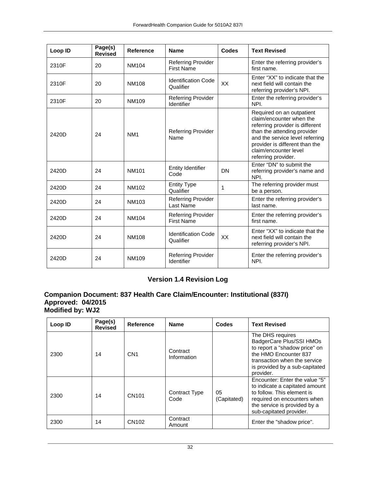| Loop ID | Page(s)<br><b>Revised</b> | <b>Reference</b> | <b>Name</b>                                    | Codes | <b>Text Revised</b>                                                                                                                                                                                                                          |
|---------|---------------------------|------------------|------------------------------------------------|-------|----------------------------------------------------------------------------------------------------------------------------------------------------------------------------------------------------------------------------------------------|
| 2310F   | 20                        | NM104            | Referring Provider<br><b>First Name</b>        |       | Enter the referring provider's<br>first name.                                                                                                                                                                                                |
| 2310F   | 20                        | <b>NM108</b>     | <b>Identification Code</b><br>Qualifier        | XX    | Enter "XX" to indicate that the<br>next field will contain the<br>referring provider's NPI.                                                                                                                                                  |
| 2310F   | 20                        | NM109            | <b>Referring Provider</b><br>Identifier        |       | Enter the referring provider's<br>NPI.                                                                                                                                                                                                       |
| 2420D   | 24                        | NM <sub>1</sub>  | Referring Provider<br>Name                     |       | Required on an outpatient<br>claim/encounter when the<br>referring provider is different<br>than the attending provider<br>and the service level referring<br>provider is different than the<br>claim/encounter level<br>referring provider. |
| 2420D   | 24                        | <b>NM101</b>     | <b>Entity Identifier</b><br>Code               | DN    | Enter "DN" to submit the<br>referring provider's name and<br>NPI.                                                                                                                                                                            |
| 2420D   | 24                        | NM102            | <b>Entity Type</b><br>Qualifier                | 1     | The referring provider must<br>be a person.                                                                                                                                                                                                  |
| 2420D   | 24                        | NM103            | Referring Provider<br>Last Name                |       | Enter the referring provider's<br>last name.                                                                                                                                                                                                 |
| 2420D   | 24                        | <b>NM104</b>     | <b>Referring Provider</b><br><b>First Name</b> |       | Enter the referring provider's<br>first name.                                                                                                                                                                                                |
| 2420D   | 24                        | <b>NM108</b>     | <b>Identification Code</b><br>Qualifier        | XX    | Enter "XX" to indicate that the<br>next field will contain the<br>referring provider's NPI.                                                                                                                                                  |
| 2420D   | 24                        | NM109            | <b>Referring Provider</b><br>Identifier        |       | Enter the referring provider's<br>NPI.                                                                                                                                                                                                       |

#### **Version 1.4 Revision Log**

#### **Companion Document: 837 Health Care Claim/Encounter: Institutional (837I) Approved: 04/2015 Modified by: WJ2**

| Loop ID | Page(s)<br><b>Revised</b> | Reference         | <b>Name</b>             | Codes             | <b>Text Revised</b>                                                                                                                                                                      |
|---------|---------------------------|-------------------|-------------------------|-------------------|------------------------------------------------------------------------------------------------------------------------------------------------------------------------------------------|
| 2300    | 14                        | CN <sub>1</sub>   | Contract<br>Information |                   | The DHS requires<br>BadgerCare Plus/SSI HMOs<br>to report a "shadow price" on<br>the HMO Encounter 837<br>transaction when the service<br>is provided by a sub-capitated<br>provider.    |
| 2300    | 14                        | CN <sub>101</sub> | Contract Type<br>Code   | 05<br>(Capitated) | Encounter: Enter the value "5"<br>to indicate a capitated amount<br>to follow. This element is<br>required on encounters when<br>the service is provided by a<br>sub-capitated provider. |
| 2300    | 14                        | CN <sub>102</sub> | Contract<br>Amount      |                   | Enter the "shadow price".                                                                                                                                                                |